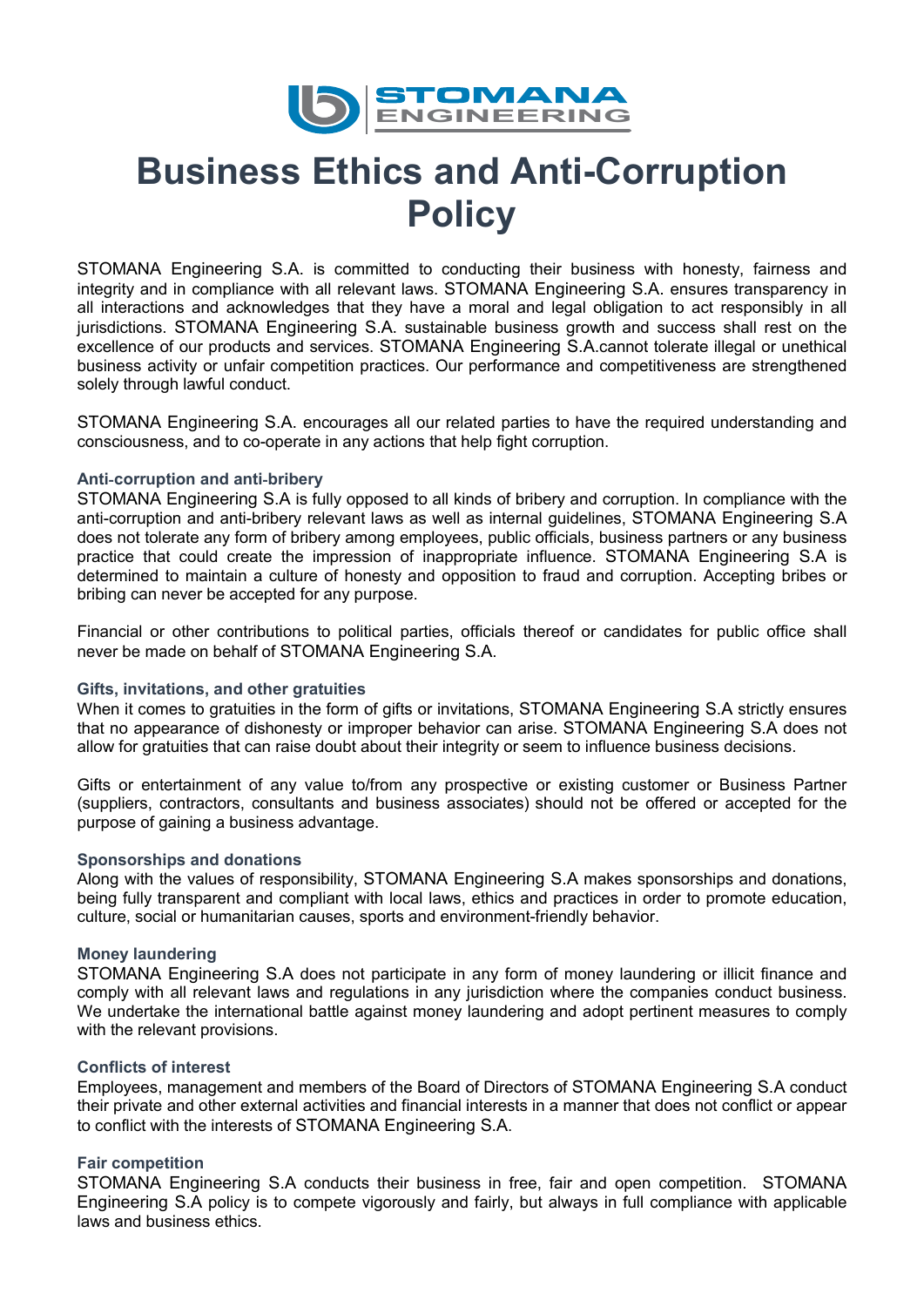

# **Business Ethics and Anti-Corruption Policy**

STOMANA Engineering S.A. is committed to conducting their business with honesty, fairness and integrity and in compliance with all relevant laws. STOMANA Engineering S.A. ensures transparency in all interactions and acknowledges that they have a moral and legal obligation to act responsibly in all jurisdictions. STOMANA Engineering S.A. sustainable business growth and success shall rest on the excellence of our products and services. STOMANA Engineering S.A.cannot tolerate illegal or unethical business activity or unfair competition practices. Our performance and competitiveness are strengthened solely through lawful conduct.

STOMANA Engineering S.A. encourages all our related parties to have the required understanding and consciousness, and to co-operate in any actions that help fight corruption.

## **Anti**‐**corruption and anti**‐**bribery**

STOMANA Engineering S.A is fully opposed to all kinds of bribery and corruption. In compliance with the anti-corruption and anti-bribery relevant laws as well as internal guidelines, STOMANA Engineering S.A does not tolerate any form of bribery among employees, public officials, business partners or any business practice that could create the impression of inappropriate influence. STOMANA Engineering S.A is determined to maintain a culture of honesty and opposition to fraud and corruption. Accepting bribes or bribing can never be accepted for any purpose.

Financial or other contributions to political parties, officials thereof or candidates for public office shall never be made on behalf of STOMANA Engineering S.A.

#### **Gifts, invitations, and other gratuities**

When it comes to gratuities in the form of gifts or invitations, STOMANA Engineering S.A strictly ensures that no appearance of dishonesty or improper behavior can arise. STOMANA Engineering S.A does not allow for gratuities that can raise doubt about their integrity or seem to influence business decisions.

Gifts or entertainment of any value to/from any prospective or existing customer or Business Partner (suppliers, contractors, consultants and business associates) should not be offered or accepted for the purpose of gaining a business advantage.

#### **Sponsorships and donations**

Along with the values of responsibility, STOMANA Engineering S.A makes sponsorships and donations, being fully transparent and compliant with local laws, ethics and practices in order to promote education, culture, social or humanitarian causes, sports and environment-friendly behavior.

# **Money laundering**

STOMANA Engineering S.A does not participate in any form of money laundering or illicit finance and comply with all relevant laws and regulations in any jurisdiction where the companies conduct business. We undertake the international battle against money laundering and adopt pertinent measures to comply with the relevant provisions.

#### **Conflicts of interest**

Employees, management and members of the Board of Directors of STOMANA Engineering S.A conduct their private and other external activities and financial interests in a manner that does not conflict or appear to conflict with the interests of STOMANA Engineering S.A.

# **Fair competition**

STOMANA Engineering S.A conducts their business in free, fair and open competition. STOMANA Engineering S.A policy is to compete vigorously and fairly, but always in full compliance with applicable laws and business ethics.